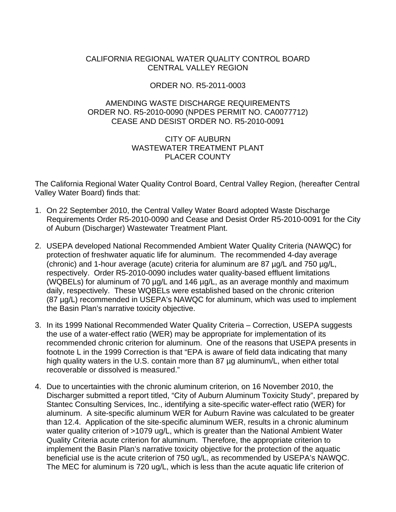## CALIFORNIA REGIONAL WATER QUALITY CONTROL BOARD CENTRAL VALLEY REGION

## ORDER NO. R5-2011-0003

## AMENDING WASTE DISCHARGE REQUIREMENTS ORDER NO. R5-2010-0090 (NPDES PERMIT NO. CA0077712) CEASE AND DESIST ORDER NO. R5-2010-0091

## CITY OF AUBURN WASTEWATER TREATMENT PLANT PLACER COUNTY

The California Regional Water Quality Control Board, Central Valley Region, (hereafter Central Valley Water Board) finds that:

- 1. On 22 September 2010, the Central Valley Water Board adopted Waste Discharge Requirements Order R5-2010-0090 and Cease and Desist Order R5-2010-0091 for the City of Auburn (Discharger) Wastewater Treatment Plant.
- 2. USEPA developed National Recommended Ambient Water Quality Criteria (NAWQC) for protection of freshwater aquatic life for aluminum. The recommended 4-day average (chronic) and 1-hour average (acute) criteria for aluminum are 87 µg/L and 750 µg/L, respectively. Order R5-2010-0090 includes water quality-based effluent limitations (WQBELs) for aluminum of 70 µg/L and 146 µg/L, as an average monthly and maximum daily, respectively. These WQBELs were established based on the chronic criterion (87 µg/L) recommended in USEPA's NAWQC for aluminum, which was used to implement the Basin Plan's narrative toxicity objective.
- 3. In its 1999 National Recommended Water Quality Criteria Correction, USEPA suggests the use of a water-effect ratio (WER) may be appropriate for implementation of its recommended chronic criterion for aluminum. One of the reasons that USEPA presents in footnote L in the 1999 Correction is that "EPA is aware of field data indicating that many high quality waters in the U.S. contain more than 87 µg aluminum/L, when either total recoverable or dissolved is measured."
- 4. Due to uncertainties with the chronic aluminum criterion, on 16 November 2010, the Discharger submitted a report titled, "City of Auburn Aluminum Toxicity Study", prepared by Stantec Consulting Services, Inc., identifying a site-specific water-effect ratio (WER) for aluminum. A site-specific aluminum WER for Auburn Ravine was calculated to be greater than 12.4. Application of the site-specific aluminum WER, results in a chronic aluminum water quality criterion of >1079 ug/L, which is greater than the National Ambient Water Quality Criteria acute criterion for aluminum. Therefore, the appropriate criterion to implement the Basin Plan's narrative toxicity objective for the protection of the aquatic beneficial use is the acute criterion of 750 ug/L, as recommended by USEPA's NAWQC. The MEC for aluminum is 720 ug/L, which is less than the acute aquatic life criterion of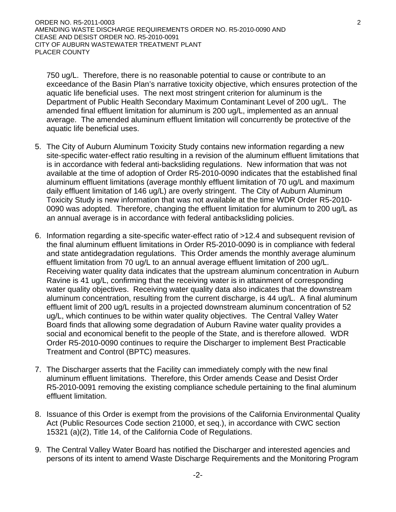750 ug/L. Therefore, there is no reasonable potential to cause or contribute to an exceedance of the Basin Plan's narrative toxicity objective, which ensures protection of the aquatic life beneficial uses. The next most stringent criterion for aluminum is the Department of Public Health Secondary Maximum Contaminant Level of 200 ug/L. The amended final effluent limitation for aluminum is 200 ug/L, implemented as an annual average. The amended aluminum effluent limitation will concurrently be protective of the aquatic life beneficial uses.

- 5. The City of Auburn Aluminum Toxicity Study contains new information regarding a new site-specific water-effect ratio resulting in a revision of the aluminum effluent limitations that is in accordance with federal anti-backsliding regulations. New information that was not available at the time of adoption of Order R5-2010-0090 indicates that the established final aluminum effluent limitations (average monthly effluent limitation of 70 ug/L and maximum daily effluent limitation of 146 ug/L) are overly stringent. The City of Auburn Aluminum Toxicity Study is new information that was not available at the time WDR Order R5-2010- 0090 was adopted. Therefore, changing the effluent limitation for aluminum to 200 ug/L as an annual average is in accordance with federal antibacksliding policies.
- 6. Information regarding a site-specific water-effect ratio of >12.4 and subsequent revision of the final aluminum effluent limitations in Order R5-2010-0090 is in compliance with federal and state antidegradation regulations. This Order amends the monthly average aluminum effluent limitation from 70 ug/L to an annual average effluent limitation of 200 ug/L. Receiving water quality data indicates that the upstream aluminum concentration in Auburn Ravine is 41 ug/L, confirming that the receiving water is in attainment of corresponding water quality objectives. Receiving water quality data also indicates that the downstream aluminum concentration, resulting from the current discharge, is 44 ug/L. A final aluminum effluent limit of 200 ug/L results in a projected downstream aluminum concentration of 52 ug/L, which continues to be within water quality objectives. The Central Valley Water Board finds that allowing some degradation of Auburn Ravine water quality provides a social and economical benefit to the people of the State, and is therefore allowed. WDR Order R5-2010-0090 continues to require the Discharger to implement Best Practicable Treatment and Control (BPTC) measures.
- 7. The Discharger asserts that the Facility can immediately comply with the new final aluminum effluent limitations. Therefore, this Order amends Cease and Desist Order R5-2010-0091 removing the existing compliance schedule pertaining to the final aluminum effluent limitation.
- 8. Issuance of this Order is exempt from the provisions of the California Environmental Quality Act (Public Resources Code section 21000, et seq.), in accordance with CWC section 15321 (a)(2), Title 14, of the California Code of Regulations.
- 9. The Central Valley Water Board has notified the Discharger and interested agencies and persons of its intent to amend Waste Discharge Requirements and the Monitoring Program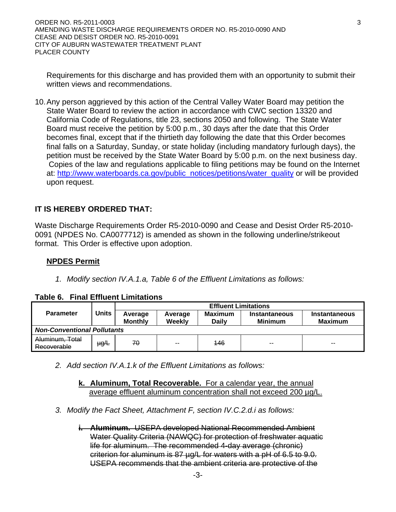Requirements for this discharge and has provided them with an opportunity to submit their written views and recommendations.

10. Any person aggrieved by this action of the Central Valley Water Board may petition the State Water Board to review the action in accordance with CWC section 13320 and California Code of Regulations, title 23, sections 2050 and following. The State Water Board must receive the petition by 5:00 p.m., 30 days after the date that this Order becomes final, except that if the thirtieth day following the date that this Order becomes final falls on a Saturday, Sunday, or state holiday (including mandatory furlough days), the petition must be received by the State Water Board by 5:00 p.m. on the next business day. Copies of the law and regulations applicable to filing petitions may be found on the Internet at: http://www.waterboards.ca.gov/public\_notices/petitions/water\_quality or will be provided upon request.

# **IT IS HEREBY ORDERED THAT:**

Waste Discharge Requirements Order R5-2010-0090 and Cease and Desist Order R5-2010- 0091 (NPDES No. CA0077712) is amended as shown in the following underline/strikeout format. This Order is effective upon adoption.

## **NPDES Permit**

*1. Modify section IV.A.1.a, Table 6 of the Effluent Limitations as follows:* 

## **Table 6. Final Effluent Limitations**

|                                    |              |                           |                   | <b>Effluent Limitations</b> |                                 |                          |
|------------------------------------|--------------|---------------------------|-------------------|-----------------------------|---------------------------------|--------------------------|
| <b>Parameter</b>                   | <b>Units</b> | Average<br><b>Monthly</b> | Average<br>Weekly | Maximum<br>Dailv            | Instantaneous<br><b>Minimum</b> | Instantaneous<br>Maximum |
| <b>Non-Conventional Pollutants</b> |              |                           |                   |                             |                                 |                          |
| Aluminum, Total<br>Recoverable     | µg∕L         | 70                        | $- -$             | 146                         | $-$                             | $- -$                    |

- *2. Add section IV.A.1.k of the Effluent Limitations as follows:* 
	- **k. Aluminum, Total Recoverable.** For a calendar year, the annual average effluent aluminum concentration shall not exceed 200 µg/L.
- *3. Modify the Fact Sheet, Attachment F, section IV.C.2.d.i as follows:* 
	- **i. Aluminum.** USEPA developed National Recommended Ambient Water Quality Criteria (NAWQC) for protection of freshwater aquatic life for aluminum. The recommended 4-day average (chronic) criterion for aluminum is 87 µg/L for waters with a pH of 6.5 to 9.0. USEPA recommends that the ambient criteria are protective of the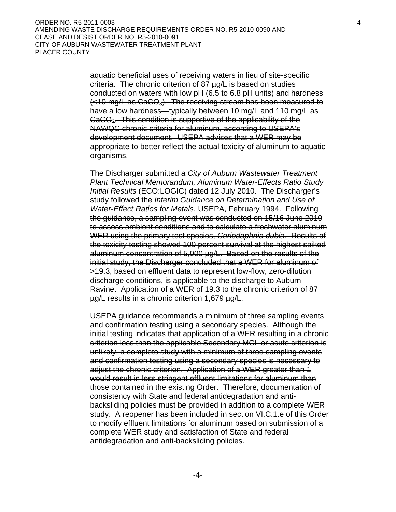aquatic beneficial uses of receiving waters in lieu of site-specific criteria. The chronic criterion of 87 µg/L is based on studies conducted on waters with low pH (6.5 to 6.8 pH units) and hardness  $\left\langle \langle 10 \rangle \right\rangle$  as CaCO<sub>3</sub>). The receiving stream has been measured to have a low hardness—typically between 10 mg/L and 110 mg/L as CaCO3. This condition is supportive of the applicability of the NAWQC chronic criteria for aluminum, according to USEPA's development document. USEPA advises that a WER may be appropriate to better reflect the actual toxicity of aluminum to aquatic organisms.

The Discharger submitted a *City of Auburn Wastewater Treatment Plant Technical Memorandum, Aluminum Water-Effects Ratio Study Initial Results* (ECO:LOGIC) dated 12 July 2010. The Discharger's study followed the *Interim Guidance on Determination and Use of Water-Effect Ratios for Metals*, USEPA, February 1994. Following the guidance, a sampling event was conducted on 15/16 June 2010 to assess ambient conditions and to calculate a freshwater aluminum WER using the primary test species, *Ceriodaphnia dubia*. Results of the toxicity testing showed 100 percent survival at the highest spiked aluminum concentration of 5,000 µg/L. Based on the results of the initial study, the Discharger concluded that a WER for aluminum of >19.3, based on effluent data to represent low-flow, zero-dilution discharge conditions, is applicable to the discharge to Auburn Ravine. Application of a WER of 19.3 to the chronic criterion of 87 µg/L results in a chronic criterion 1,679 µg/L.

USEPA guidance recommends a minimum of three sampling events and confirmation testing using a secondary species. Although the initial testing indicates that application of a WER resulting in a chronic criterion less than the applicable Secondary MCL or acute criterion is unlikely, a complete study with a minimum of three sampling events and confirmation testing using a secondary species is necessary to adjust the chronic criterion. Application of a WER greater than 1 would result in less stringent effluent limitations for aluminum than those contained in the existing Order. Therefore, documentation of consistency with State and federal antidegradation and antibacksliding policies must be provided in addition to a complete WER study. A reopener has been included in section VI.C.1.e of this Order to modify effluent limitations for aluminum based on submission of a complete WER study and satisfaction of State and federal antidegradation and anti-backsliding policies.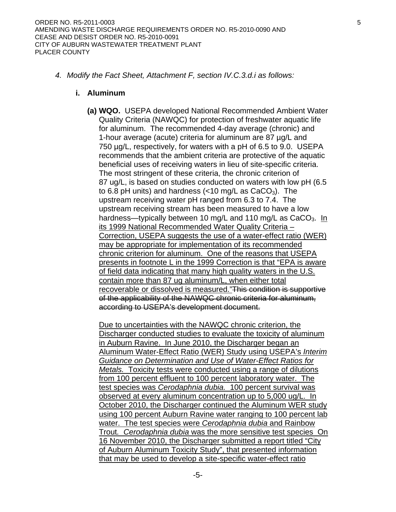*4. Modify the Fact Sheet, Attachment F, section IV.C.3.d.i as follows:* 

#### **i. Aluminum**

**(a) WQO.** USEPA developed National Recommended Ambient Water Quality Criteria (NAWQC) for protection of freshwater aquatic life for aluminum. The recommended 4-day average (chronic) and 1-hour average (acute) criteria for aluminum are 87 µg/L and 750 µg/L, respectively, for waters with a pH of 6.5 to 9.0. USEPA recommends that the ambient criteria are protective of the aquatic beneficial uses of receiving waters in lieu of site-specific criteria. The most stringent of these criteria, the chronic criterion of 87 ug/L, is based on studies conducted on waters with low pH (6.5 to 6.8 pH units) and hardness  $\left\langle \langle 10 \rangle \right\rangle$  as CaCO<sub>3</sub>). The upstream receiving water pH ranged from 6.3 to 7.4. The upstream receiving stream has been measured to have a low hardness—typically between 10 mg/L and 110 mg/L as  $CaCO<sub>3</sub>$ . In its 1999 National Recommended Water Quality Criteria – Correction, USEPA suggests the use of a water-effect ratio (WER) may be appropriate for implementation of its recommended chronic criterion for aluminum. One of the reasons that USEPA presents in footnote L in the 1999 Correction is that "EPA is aware of field data indicating that many high quality waters in the U.S. contain more than 87 ug aluminum/L, when either total recoverable or dissolved is measured."This condition is supportive of the applicability of the NAWQC chronic criteria for aluminum, according to USEPA's development document.

Due to uncertainties with the NAWQC chronic criterion, the Discharger conducted studies to evaluate the toxicity of aluminum in Auburn Ravine. In June 2010, the Discharger began an Aluminum Water-Effect Ratio (WER) Study using USEPA's *Interim Guidance on Determination and Use of Water-Effect Ratios for Metals.* Toxicity tests were conducted using a range of dilutions from 100 percent effluent to 100 percent laboratory water. The test species was *Cerodaphnia dubia.* 100 percent survival was observed at every aluminum concentration up to 5,000 ug/L. In October 2010, the Discharger continued the Aluminum WER study using 100 percent Auburn Ravine water ranging to 100 percent lab water. The test species were *Cerodaphnia dubia* and Rainbow Trout*. Cerodaphnia dubia* was the more sensitive test species On 16 November 2010, the Discharger submitted a report titled "City of Auburn Aluminum Toxicity Study", that presented information that may be used to develop a site-specific water-effect ratio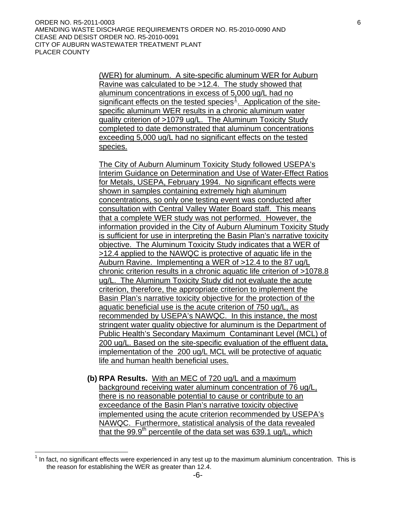<span id="page-5-0"></span>(WER) for aluminum. A site-specific aluminum WER for Auburn Ravine was calculated to be >12.4. The study showed that aluminum concentrations in excess of 5,000 ug/L had no significant effects on the tested species<sup>[1](#page-5-0)</sup>. Application of the sitespecific aluminum WER results in a chronic aluminum water quality criterion of >1079 ug/L. The Aluminum Toxicity Study completed to date demonstrated that aluminum concentrations exceeding 5,000 ug/L had no significant effects on the tested species.

The City of Auburn Aluminum Toxicity Study followed USEPA's Interim Guidance on Determination and Use of Water-Effect Ratios for Metals, USEPA, February 1994. No significant effects were shown in samples containing extremely high aluminum concentrations, so only one testing event was conducted after consultation with Central Valley Water Board staff. This means that a complete WER study was not performed. However, the information provided in the City of Auburn Aluminum Toxicity Study is sufficient for use in interpreting the Basin Plan's narrative toxicity objective. The Aluminum Toxicity Study indicates that a WER of >12.4 applied to the NAWQC is protective of aquatic life in the Auburn Ravine. Implementing a WER of >12.4 to the 87 ug/L chronic criterion results in a chronic aquatic life criterion of >1078.8 ug/L. The Aluminum Toxicity Study did not evaluate the acute criterion, therefore, the appropriate criterion to implement the Basin Plan's narrative toxicity objective for the protection of the aquatic beneficial use is the acute criterion of 750 ug/L, as recommended by USEPA's NAWQC. In this instance, the most stringent water quality objective for aluminum is the Department of Public Health's Secondary Maximum Contaminant Level (MCL) of 200 ug/L. Based on the site-specific evaluation of the effluent data, implementation of the 200 ug/L MCL will be protective of aquatic life and human health beneficial uses.

**(b) RPA Results.** With an MEC of 720 ug/L and a maximum background receiving water aluminum concentration of 76 ug/L, there is no reasonable potential to cause or contribute to an exceedance of the Basin Plan's narrative toxicity objective implemented using the acute criterion recommended by USEPA's NAWQC. Furthermore, statistical analysis of the data revealed that the 99.9<sup>th</sup> percentile of the data set was  $639.1$  ug/L, which

 $\overline{a}$ 

 $1$  In fact, no significant effects were experienced in any test up to the maximum aluminium concentration. This is the reason for establishing the WER as greater than 12.4.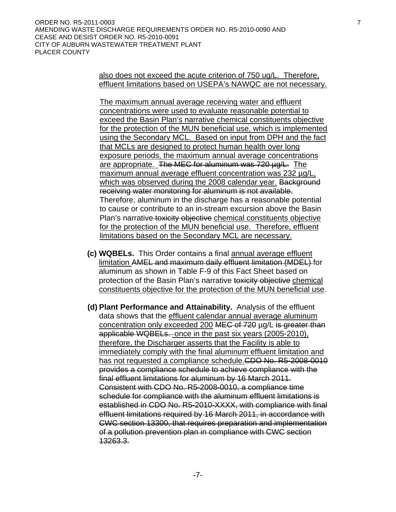also does not exceed the acute criterion of 750 ug/L. Therefore, effluent limitations based on USEPA's NAWQC are not necessary.

The maximum annual average receiving water and effluent concentrations were used to evaluate reasonable potential to exceed the Basin Plan's narrative chemical constituents objective for the protection of the MUN beneficial use, which is implemented using the Secondary MCL. Based on input from DPH and the fact that MCLs are designed to protect human health over long exposure periods, the maximum annual average concentrations are appropriate. The MEC for aluminum was 720 ug/L. The maximum annual average effluent concentration was 232 µg/L, which was observed during the 2008 calendar year. Background receiving water monitoring for aluminum is not available. Therefore, aluminum in the discharge has a reasonable potential to cause or contribute to an in-stream excursion above the Basin Plan's narrative toxicity objective chemical constituents objective for the protection of the MUN beneficial use. Therefore, effluent limitations based on the Secondary MCL are necessary.

- **(c) WQBELs.** This Order contains a final annual average effluent limitation AMEL and maximum daily effluent limitation (MDEL) for aluminum as shown in Table F-9 of this Fact Sheet based on protection of the Basin Plan's narrative toxicity objective chemical constituents objective for the protection of the MUN beneficial use.
- **(d) Plant Performance and Attainability.** Analysis of the effluent data shows that the effluent calendar annual average aluminum concentration only exceeded 200 MEC of 720 µg/L is greater than applicable WQBELs. once in the past six years (2005-2010), therefore, the Discharger asserts that the Facility is able to immediately comply with the final aluminum effluent limitation and has not requested a compliance schedule.CDO No. R5-2008-0010 provides a compliance schedule to achieve compliance with the final effluent limitations for aluminum by 16 March 2011. Consistent with CDO No. R5-2008-0010, a compliance time schedule for compliance with the aluminum effluent limitations is established in CDO No. R5-2010-XXXX, with compliance with final effluent limitations required by 16 March 2011, in accordance with CWC section 13300, that requires preparation and implementation of a pollution prevention plan in compliance with CWC section 13263.3.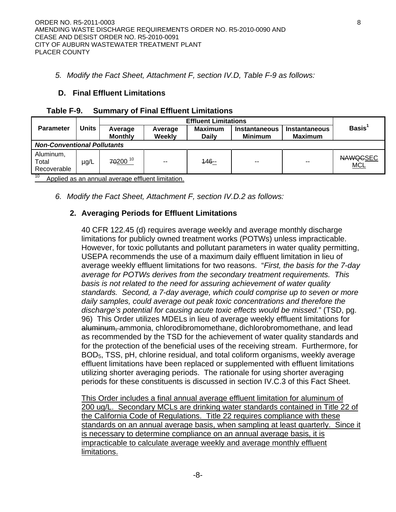## *5. Modify the Fact Sheet, Attachment F, section IV.D, Table F-9 as follows:*

## **D. Final Effluent Limitations**

|                                    |                                           |          | <b>Effluent Limitations</b> |         |                                 |                                        |                               |  |  |  |  |  |
|------------------------------------|-------------------------------------------|----------|-----------------------------|---------|---------------------------------|----------------------------------------|-------------------------------|--|--|--|--|--|
| <b>Parameter</b>                   | <b>Units</b><br>Average<br><b>Monthly</b> |          | Average<br>Weekly           |         | Instantaneous<br><b>Minimum</b> | <b>Instantaneous</b><br><b>Maximum</b> | Basis <sup>1</sup>            |  |  |  |  |  |
| <b>Non-Conventional Pollutants</b> |                                           |          |                             |         |                                 |                                        |                               |  |  |  |  |  |
| Aluminum,<br>Total<br>Recoverable  | $\mu$ g/L                                 | 70200 10 | $\sim$ $\sim$               | $146 -$ | $- -$                           | $-$                                    | <b>NAWQGSEC</b><br><b>MCL</b> |  |  |  |  |  |

## **Table F-9. Summary of Final Effluent Limitations**

Applied as an annual average effluent limitation.

*6. Modify the Fact Sheet, Attachment F, section IV.D.2 as follows:* 

# **2. Averaging Periods for Effluent Limitations**

40 CFR 122.45 (d) requires average weekly and average monthly discharge limitations for publicly owned treatment works (POTWs) unless impracticable. However, for toxic pollutants and pollutant parameters in water quality permitting, USEPA recommends the use of a maximum daily effluent limitation in lieu of average weekly effluent limitations for two reasons. "*First, the basis for the 7-day average for POTWs derives from the secondary treatment requirements. This basis is not related to the need for assuring achievement of water quality standards. Second, a 7-day average, which could comprise up to seven or more daily samples, could average out peak toxic concentrations and therefore the discharge's potential for causing acute toxic effects would be missed.*" (TSD, pg. 96) This Order utilizes MDELs in lieu of average weekly effluent limitations for aluminum, ammonia, chlorodibromomethane, dichlorobromomethane, and lead as recommended by the TSD for the achievement of water quality standards and for the protection of the beneficial uses of the receiving stream. Furthermore, for BOD5, TSS, pH, chlorine residual, and total coliform organisms, weekly average effluent limitations have been replaced or supplemented with effluent limitations utilizing shorter averaging periods. The rationale for using shorter averaging periods for these constituents is discussed in section IV.C.3 of this Fact Sheet.

This Order includes a final annual average effluent limitation for aluminum of 200 ug/L. Secondary MCLs are drinking water standards contained in Title 22 of the California Code of Regulations. Title 22 requires compliance with these standards on an annual average basis, when sampling at least quarterly. Since it is necessary to determine compliance on an annual average basis, it is impracticable to calculate average weekly and average monthly effluent limitations.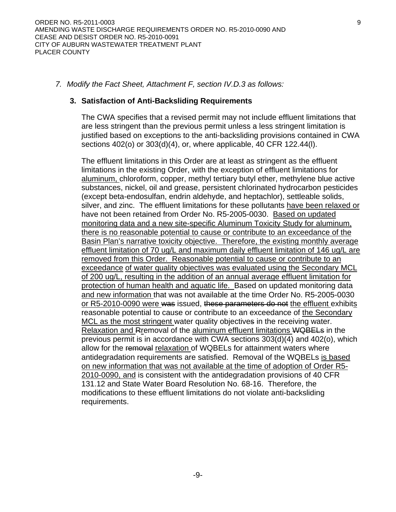#### *7. Modify the Fact Sheet, Attachment F, section IV.D.3 as follows:*

#### **3. Satisfaction of Anti-Backsliding Requirements**

The CWA specifies that a revised permit may not include effluent limitations that are less stringent than the previous permit unless a less stringent limitation is justified based on exceptions to the anti-backsliding provisions contained in CWA sections 402(o) or 303(d)(4), or, where applicable, 40 CFR 122.44(l).

The effluent limitations in this Order are at least as stringent as the effluent limitations in the existing Order, with the exception of effluent limitations for aluminum, chloroform, copper, methyl tertiary butyl ether, methylene blue active substances, nickel, oil and grease, persistent chlorinated hydrocarbon pesticides (except beta-endosulfan, endrin aldehyde, and heptachlor), settleable solids, silver, and zinc. The effluent limitations for these pollutants have been relaxed or have not been retained from Order No. R5-2005-0030. Based on updated monitoring data and a new site-specific Aluminum Toxicity Study for aluminum, there is no reasonable potential to cause or contribute to an exceedance of the Basin Plan's narrative toxicity objective. Therefore, the existing monthly average effluent limitation of 70 ug/L and maximum daily effluent limitation of 146 ug/L are removed from this Order. Reasonable potential to cause or contribute to an exceedance of water quality objectives was evaluated using the Secondary MCL of 200 ug/L, resulting in the addition of an annual average effluent limitation for protection of human health and aquatic life. Based on updated monitoring data and new information that was not available at the time Order No. R5-2005-0030 or R5-2010-0090 were was issued, these parameters do not the effluent exhibits reasonable potential to cause or contribute to an exceedance of the Secondary MCL as the most stringent water quality objectives in the receiving water. Relaxation and Rremoval of the aluminum effluent limitations WQBELs in the previous permit is in accordance with CWA sections 303(d)(4) and 402(o), which allow for the removal relaxation of WQBELs for attainment waters where antidegradation requirements are satisfied. Removal of the WQBELs is based on new information that was not available at the time of adoption of Order R5- 2010-0090, and is consistent with the antidegradation provisions of 40 CFR 131.12 and State Water Board Resolution No. 68-16. Therefore, the modifications to these effluent limitations do not violate anti-backsliding requirements.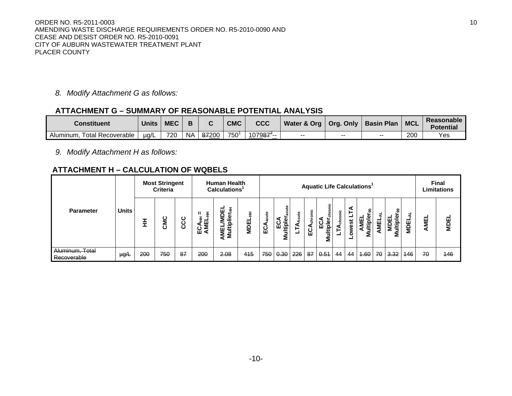ORDER NO. R5-2011-0003 10 AMENDING WASTE DISCHARGE REQUIREMENTS ORDER NO. R5-2010-0090 AND CEASE AND DESIST ORDER NO. R5-2010-0091 CITY OF AUBURN WASTEWATER TREATMENT PLANT PLACER COUNTY

*8. Modify Attachment G as follows:* 

## **ATTACHMENT G – SUMMARY OF REASONABLE POTENTIAL ANALYSIS**

| <b>Constituent</b>                    | <b>Units</b> | <b>MEC</b> |           |       | <b>CMC</b> | CCC                              | Water & Org | Org. Only | <b>Basin Plan</b> | <b>MCL</b> | Reasonable<br><b>Potential</b> |
|---------------------------------------|--------------|------------|-----------|-------|------------|----------------------------------|-------------|-----------|-------------------|------------|--------------------------------|
| <b>Total Recoverable</b><br>Aluminum. | $\mu q/L$    | 720        | <b>NA</b> | 87200 | 750        | 1079 <del>87<sup>*</sup>--</del> | --          | $- -$     | $- -$             | 200        | Yes                            |

*9. Modify Attachment H as follows:* 

## **ATTACHMENT H – CALCULATION OF WQBELS**

|                                |              |     | <b>Most Stringent</b><br><b>Criteria</b> |          |             | <b>Human Health</b><br>Calculations <sup>1</sup> |                  |             |                              |     |                  | <b>Aquatic Life Calculations'</b> |               |                    |                       |        |                               |                        |             | <b>Final</b><br>Limitations |
|--------------------------------|--------------|-----|------------------------------------------|----------|-------------|--------------------------------------------------|------------------|-------------|------------------------------|-----|------------------|-----------------------------------|---------------|--------------------|-----------------------|--------|-------------------------------|------------------------|-------------|-----------------------------|
| <b>Parameter</b>               | <b>Units</b> | 퐆   | <b>CMC</b>                               | ပ<br>ပ္ပ | 쁘<br>2<br>ш | Ξ<br>ш<br>Ω<br>§ ≩                               | ÷<br><b>MDEL</b> | 은<br>ပ<br>ш | ব<br>Φ<br>ပ္မ<br>ultipl<br>Σ | ៖   | ≅<br>ă<br>ပ<br>ш | chronic<br>ultipl<br>ш<br>Σ       | <u>ي</u><br>a | <b>i</b><br>Φ<br>۰ | 5<br>ö<br>ᅙ<br>3<br>Σ | ш<br>Σ | ႙ၟ<br>亜<br>ᅙ<br>$-$<br>5<br>Σ | ш<br>$\mathbf{a}$<br>Σ | <b>AMEL</b> | <b>MDEL</b>                 |
| Aluminum, Total<br>Recoverable | $\mu g/L$    | 200 | 750                                      | 87       | 200         | 2.08                                             | 415              | 750         | 0.30                         | 226 | 87               | 0.54                              | 44            | 44                 | 4.60                  | 70     | 3.32                          | 146                    | 70          | 446                         |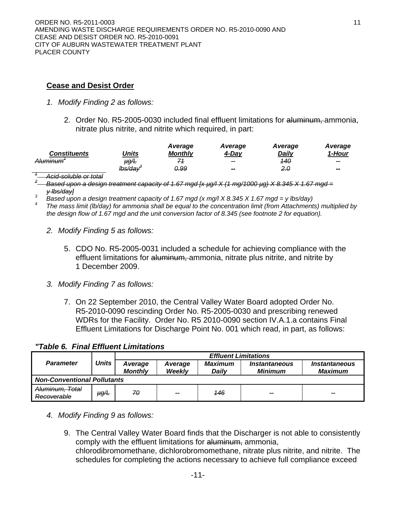## **Cease and Desist Order**

- *1. Modify Finding 2 as follows:* 
	- 2. Order No. R5-2005-0030 included final effluent limitations for aluminum, ammonia, nitrate plus nitrite, and nitrite which required, in part:

|                                                |         | Average        | Average        | Average      | Average        |
|------------------------------------------------|---------|----------------|----------------|--------------|----------------|
| <b>Constituents</b>                            | Units   | <b>Monthly</b> | 4-Day          | <b>Daily</b> | 1-Hour         |
| Aluminum'                                      | µg∕L    | 71             | $\sim$         | -140         | -              |
|                                                | lbs/day | <u>0.99</u>    | <b>Section</b> | 2.0          | <b>Service</b> |
| Acid-soluble or total<br>וטוס וט טועוטוסט ווטו |         |                |                |              |                |

*<sup>2</sup> Based upon a design treatment capacity of 1.67 mgd [x µg/l X (1 mg/1000 µg) X 8.345 X 1.67 mgd = <sup>y</sup> lbs/day] <sup>3</sup>*

*Based upon a design treatment capacity of 1.67 mgd (x mg/l X 8.345 X 1.67 mgd = y lbs/day)* 

 *The mass limit (lb/day) for ammonia shall be equal to the concentration limit (from Attachments) multiplied by the design flow of 1.67 mgd and the unit conversion factor of 8.345 (see footnote 2 for equation).* 

- *2. Modify Finding 5 as follows:* 
	- 5. CDO No. R5-2005-0031 included a schedule for achieving compliance with the effluent limitations for aluminum, ammonia, nitrate plus nitrite, and nitrite by 1 December 2009.
- *3. Modify Finding 7 as follows:* 
	- 7. On 22 September 2010, the Central Valley Water Board adopted Order No. R5-2010-0090 rescinding Order No. R5-2005-0030 and prescribing renewed WDRs for the Facility. Order No. R5 2010-0090 section IV.A.1.a contains Final Effluent Limitations for Discharge Point No. 001 which read, in part, as follows:

*"Table 6. Final Effluent Limitations* 

|                                    |              | <b>Effluent Limitations</b> |                   |                  |                                        |                                               |  |  |  |  |  |
|------------------------------------|--------------|-----------------------------|-------------------|------------------|----------------------------------------|-----------------------------------------------|--|--|--|--|--|
| <b>Parameter</b>                   | <b>Units</b> | Average<br><b>Monthly</b>   | Average<br>Weekly | Maximum<br>Daily | <i><b>Instantaneous</b></i><br>Minimum | <i><b>Instantaneous</b></i><br><b>Maximum</b> |  |  |  |  |  |
| <b>Non-Conventional Pollutants</b> |              |                             |                   |                  |                                        |                                               |  |  |  |  |  |
| Aluminum, Total<br>Recoverable     | $\mu g/L$    | 70                          | --                | 446              | $\sim$                                 | --                                            |  |  |  |  |  |

- *4. Modify Finding 9 as follows:* 
	- 9. The Central Valley Water Board finds that the Discharger is not able to consistently comply with the effluent limitations for aluminum, ammonia, chlorodibromomethane, dichlorobromomethane, nitrate plus nitrite, and nitrite. The schedules for completing the actions necessary to achieve full compliance exceed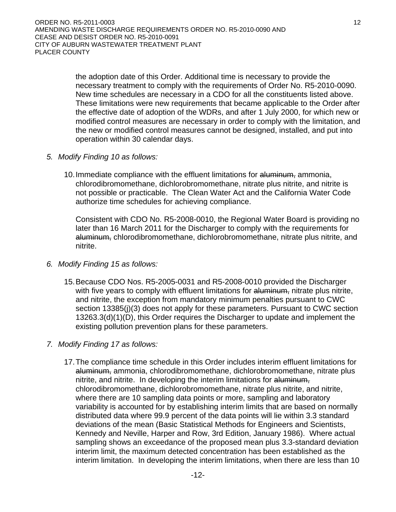the adoption date of this Order. Additional time is necessary to provide the necessary treatment to comply with the requirements of Order No. R5-2010-0090. New time schedules are necessary in a CDO for all the constituents listed above. These limitations were new requirements that became applicable to the Order after the effective date of adoption of the WDRs, and after 1 July 2000, for which new or modified control measures are necessary in order to comply with the limitation, and the new or modified control measures cannot be designed, installed, and put into operation within 30 calendar days.

- *5. Modify Finding 10 as follows:* 
	- 10. Immediate compliance with the effluent limitations for aluminum, ammonia, chlorodibromomethane, dichlorobromomethane, nitrate plus nitrite, and nitrite is not possible or practicable. The Clean Water Act and the California Water Code authorize time schedules for achieving compliance.

Consistent with CDO No. R5-2008-0010, the Regional Water Board is providing no later than 16 March 2011 for the Discharger to comply with the requirements for aluminum, chlorodibromomethane, dichlorobromomethane, nitrate plus nitrite, and nitrite.

- *6. Modify Finding 15 as follows:* 
	- 15. Because CDO Nos. R5-2005-0031 and R5-2008-0010 provided the Discharger with five years to comply with effluent limitations for aluminum, nitrate plus nitrite, and nitrite, the exception from mandatory minimum penalties pursuant to CWC section 13385(j)(3) does not apply for these parameters. Pursuant to CWC section 13263.3(d)(1)(D), this Order requires the Discharger to update and implement the existing pollution prevention plans for these parameters.
- *7. Modify Finding 17 as follows:* 
	- 17. The compliance time schedule in this Order includes interim effluent limitations for aluminum, ammonia, chlorodibromomethane, dichlorobromomethane, nitrate plus nitrite, and nitrite. In developing the interim limitations for aluminum, chlorodibromomethane, dichlorobromomethane, nitrate plus nitrite, and nitrite, where there are 10 sampling data points or more, sampling and laboratory variability is accounted for by establishing interim limits that are based on normally distributed data where 99.9 percent of the data points will lie within 3.3 standard deviations of the mean (Basic Statistical Methods for Engineers and Scientists, Kennedy and Neville, Harper and Row, 3rd Edition, January 1986). Where actual sampling shows an exceedance of the proposed mean plus 3.3-standard deviation interim limit, the maximum detected concentration has been established as the interim limitation. In developing the interim limitations, when there are less than 10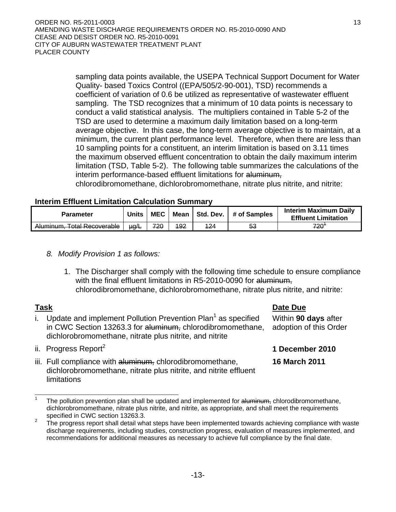sampling data points available, the USEPA Technical Support Document for Water Quality- based Toxics Control ((EPA/505/2-90-001), TSD) recommends a coefficient of variation of 0.6 be utilized as representative of wastewater effluent sampling. The TSD recognizes that a minimum of 10 data points is necessary to conduct a valid statistical analysis. The multipliers contained in Table 5-2 of the TSD are used to determine a maximum daily limitation based on a long-term average objective. In this case, the long-term average objective is to maintain, at a minimum, the current plant performance level. Therefore, when there are less than 10 sampling points for a constituent, an interim limitation is based on 3.11 times the maximum observed effluent concentration to obtain the daily maximum interim limitation (TSD, Table 5-2). The following table summarizes the calculations of the interim performance-based effluent limitations for aluminum,

chlorodibromomethane, dichlorobromomethane, nitrate plus nitrite, and nitrite:

#### **Interim Effluent Limitation Calculation Summary**

| <b>Parameter</b>            | Units     | <b>MEC</b><br>Mean |             |             | Std. Dev.   # of Samples | <b>Interim Maximum Daily</b><br><b>Effluent Limitation</b> |  |  |
|-----------------------------|-----------|--------------------|-------------|-------------|--------------------------|------------------------------------------------------------|--|--|
| Aluminum, Total Recoverable | $\mu q/L$ | 720                | <u> 192</u> | <u> 124</u> | 53                       | <b>720</b>                                                 |  |  |

## *8. Modify Provision 1 as follows:*

1. The Discharger shall comply with the following time schedule to ensure compliance with the final effluent limitations in R5-2010-0090 for aluminum, chlorodibromomethane, dichlorobromomethane, nitrate plus nitrite, and nitrite:

## **Task Date Due**

Within **90 days** after adoption of this Order

**16 March 2011** 

- i. Update and implement Pollution Prevention Plan<sup>1</sup> as specified in CWC Section 13263.3 for aluminum, chlorodibromomethane, dichlorobromomethane, nitrate plus nitrite, and nitrite
- ii. Progress Report<sup>2</sup> **1 December 2010**
- iii. Full compliance with aluminum, chlorodibromomethane, dichlorobromomethane, nitrate plus nitrite, and nitrite effluent limitations

<sup>1</sup> The pollution prevention plan shall be updated and implemented for aluminum, chlorodibromomethane, dichlorobromomethane, nitrate plus nitrite, and nitrite, as appropriate, and shall meet the requirements specified in CWC section 13263.3.

The progress report shall detail what steps have been implemented towards achieving compliance with waste discharge requirements, including studies, construction progress, evaluation of measures implemented, and recommendations for additional measures as necessary to achieve full compliance by the final date.